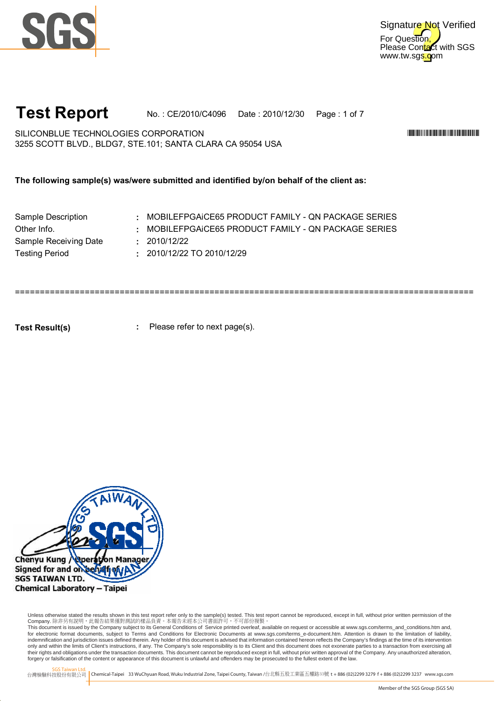



## **Test Report** No. : CE/2010/C4096 Date : 2010/12/30 Page : 1 of 7

3255 SCOTT BLVD., BLDG7, STE.101; SANTA CLARA CA 95054 USA SILICONBLUE TECHNOLOGIES CORPORATION \*CE/2010/C4096\*

**The following sample(s) was/were submitted and identified by/on behalf of the client as:**

| : MOBILEFPGAICE65 PRODUCT FAMILY - QN PACKAGE SERIES |
|------------------------------------------------------|
| : MOBILEFPGAICE65 PRODUCT FAMILY - ON PACKAGE SERIES |
|                                                      |
|                                                      |
|                                                      |

============================================================================================

**Test Result(s)**

**:** Please refer to next page(s).



Unless otherwise stated the results shown in this test report refer only to the sample(s) tested. This test report cannot be reproduced, except in full, without prior written permission of the Company. 除非另有說明,此報告結果僅對測試的樣品負責。本報告未經本公司書面許可,不可部份複製。

This document is issued by the Company subject to its General Conditions of Service printed overleaf, available on request or accessible at www.sgs.com/terms\_and\_conditions.htm and,<br>for electronic format documents, subject indemnification and jurisdiction issues defined therein. Any holder of this document is advised that information contained hereon reflects the Company's findings at the time of its intervention only and within the limits of Client's instructions, if any. The Company's sole responsibility is to its Client and this document does not exonerate parties to a transaction from exercising all<br>their rights and obligations forgery or falsification of the content or appearance of this document is unlawful and offenders may be prosecuted to the fullest extent of the law.

SGS Taiwan Ltd.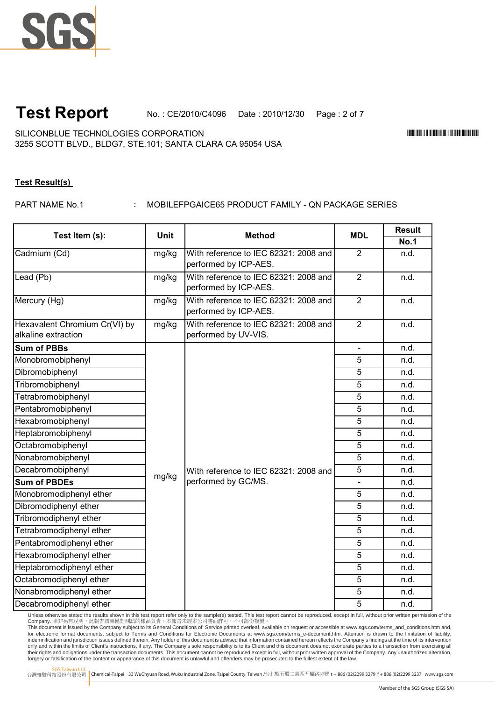

**Test Report** No. : CE/2010/C4096 Date : 2010/12/30 Page : 2 of 7

3255 SCOTT BLVD., BLDG7, STE.101; SANTA CLARA CA 95054 USA SILICONBLUE TECHNOLOGIES CORPORATION \*CE/2010/C4096\*

## **Test Result(s)**

PART NAME No.1

: MOBILEFPGAICE65 PRODUCT FAMILY - QN PACKAGE SERIES

|                                                      | <b>Unit</b> | <b>Method</b>                                                  | <b>MDL</b>     | <b>Result</b> |
|------------------------------------------------------|-------------|----------------------------------------------------------------|----------------|---------------|
| Test Item (s):                                       |             |                                                                |                | <b>No.1</b>   |
| Cadmium (Cd)                                         | mg/kg       | With reference to IEC 62321: 2008 and<br>performed by ICP-AES. | 2              | n.d.          |
| Lead (Pb)                                            | mg/kg       | With reference to IEC 62321: 2008 and<br>performed by ICP-AES. | $\overline{2}$ | n.d.          |
| Mercury (Hg)                                         | mg/kg       | With reference to IEC 62321: 2008 and<br>performed by ICP-AES. | $\overline{2}$ | n.d.          |
| Hexavalent Chromium Cr(VI) by<br>alkaline extraction | mg/kg       | With reference to IEC 62321: 2008 and<br>performed by UV-VIS.  | $\overline{2}$ | n.d.          |
| Sum of PBBs                                          |             |                                                                |                | n.d.          |
| Monobromobiphenyl                                    |             |                                                                | 5              | n.d.          |
| Dibromobiphenyl                                      |             |                                                                | $\overline{5}$ | n.d.          |
| Tribromobiphenyl                                     |             |                                                                | $\overline{5}$ | n.d.          |
| Tetrabromobiphenyl                                   |             |                                                                | 5              | n.d.          |
| Pentabromobiphenyl                                   |             |                                                                | $\overline{5}$ | n.d.          |
| Hexabromobiphenyl                                    |             |                                                                | $\overline{5}$ | n.d.          |
| Heptabromobiphenyl                                   |             |                                                                | 5              | n.d.          |
| Octabromobiphenyl                                    |             |                                                                | $\overline{5}$ | n.d.          |
| Nonabromobiphenyl                                    |             |                                                                | 5              | n.d.          |
| Decabromobiphenyl                                    |             | With reference to IEC 62321: 2008 and                          | 5              | n.d.          |
| <b>Sum of PBDEs</b>                                  | mg/kg       | performed by GC/MS.                                            |                | n.d.          |
| Monobromodiphenyl ether                              |             |                                                                | 5              | n.d.          |
| Dibromodiphenyl ether                                |             |                                                                | 5              | n.d.          |
| Tribromodiphenyl ether                               |             |                                                                | 5              | n.d.          |
| Tetrabromodiphenyl ether                             |             |                                                                | 5              | n.d.          |
| Pentabromodiphenyl ether                             |             |                                                                | 5              | n.d.          |
| Hexabromodiphenyl ether                              |             |                                                                | 5              | n.d.          |
| Heptabromodiphenyl ether                             |             |                                                                | 5              | n.d.          |
| Octabromodiphenyl ether                              |             |                                                                | 5              | n.d.          |
| Nonabromodiphenyl ether                              |             |                                                                | 5              | n.d.          |
| Decabromodiphenyl ether                              |             |                                                                | $\overline{5}$ | n.d.          |

Unless otherwise stated the results shown in this test report refer only to the sample(s) tested. This test report cannot be reproduced, except in full, without prior written permission of the

Company. 除非另有說明,此報告結果僅對測試的樣品負責。本報告未經本公司書面許可,不可部份複製。<br>This document is issued by the Company subject to its General Conditions of Service printed overleaf available on request or accessible at www.sgs.com/terms\_and\_conditio indemnification and jurisdiction issues defined therein. Any holder of this document is advised that information contained hereon reflects the Company's findings at the time of its intervention only and within the limits of Client's instructions, if any. The Company's sole responsibility is to its Client and this document does not exonerate parties to a transaction from exercising all<br>their rights and obligations forgery or falsification of the content or appearance of this document is unlawful and offenders may be prosecuted to the fullest extent of the law.

SGS Taiwan Ltd.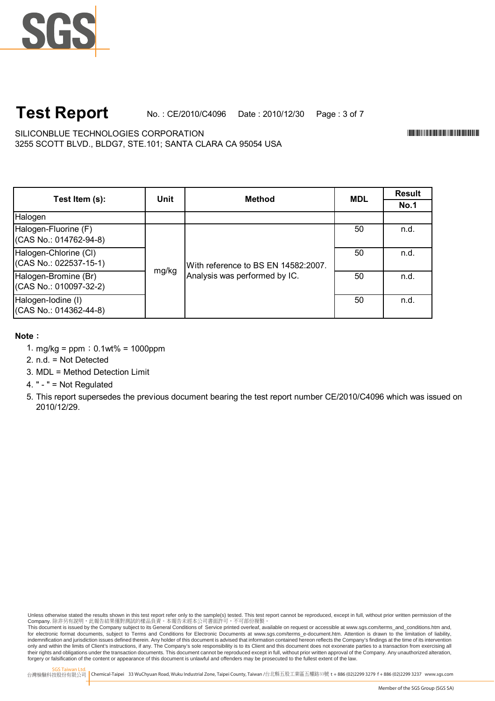### **Test Report** No. : CE/2010/C4096 Date : 2010/12/30 Page : 3 of 7

3255 SCOTT BLVD., BLDG7, STE.101; SANTA CLARA CA 95054 USA SILICONBLUE TECHNOLOGIES CORPORATION \*CE/2010/C4096\*

| Test Item (s):                                    |       | <b>Unit</b><br><b>Method</b>        | <b>Result</b><br><b>MDL</b><br><b>No.1</b> |      |
|---------------------------------------------------|-------|-------------------------------------|--------------------------------------------|------|
|                                                   |       |                                     |                                            |      |
| Halogen                                           |       |                                     |                                            |      |
| Halogen-Fluorine (F)<br>$(CAS No.: 014762-94-8)$  | mg/kg |                                     | 50                                         | n.d. |
| Halogen-Chlorine (CI)<br>$(CAS No.: 022537-15-1)$ |       | With reference to BS EN 14582:2007. | 50                                         | n.d. |
| Halogen-Bromine (Br)<br>(CAS No.: 010097-32-2)    |       | Analysis was performed by IC.       | 50                                         | n.d. |
| Halogen-Iodine (I)<br>$(CAS No.: 014362-44-8)$    |       |                                     | 50                                         | n.d. |

### **Note**:

- 1. mg/kg =  $ppm$ ; 0.1wt% = 1000ppm
- 2. n.d. = Not Detected
- 3. MDL = Method Detection Limit
- 4. " " = Not Regulated
- 5. This report supersedes the previous document bearing the test report number CE/2010/C4096 which was issued on 2010/12/29.

Unless otherwise stated the results shown in this test report refer only to the sample(s) tested. This test report cannot be reproduced, except in full, without prior written permission of the Company. 除非另有說明,此報告結果僅對測試的樣品負責。本報告未經本公司書面許可,不可部份複製。

This document is issued by the Company subject to its General Conditions of Service printed overleaf, available on request or accessible at www.sgs.com/terms\_and\_conditions.htm and,<br>for electronic format documents, subject indemnification and jurisdiction issues defined therein. Any holder of this document is advised that information contained hereon reflects the Company's findings at the time of its intervention only and within the limits of Client's instructions, if any. The Company's sole responsibility is to its Client and this document does not exonerate parties to a transaction from exercising all<br>their rights and obligations forgery or falsification of the content or appearance of this document is unlawful and offenders may be prosecuted to the fullest extent of the law.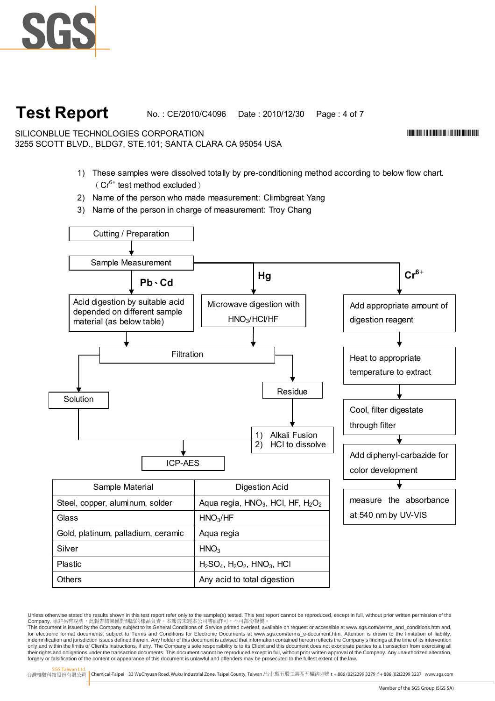

# **Test Report**

No. : CE/2010/C4096 Date : 2010/12/30 Page : 4 of 7

SILICONBLUE TECHNOLOGIES CORPORATION 3255 SCOTT BLVD., BLDG7, STE.101; SANTA CLARA CA 95054 USA

- 1) These samples were dissolved totally by pre-conditioning method according to below flow chart.  $(Cr^{6+}$  test method excluded)
- 2) Name of the person who made measurement: Climbgreat Yang
- 3) Name of the person in charge of measurement: Troy Chang



Others **Any acid to total digestion** 

台灣檢驗科技股份有限公司 Chemical-Taipei 33 WuChyuan Road, Wuku Industrial Zone, Taipei County, Taiwan /台北縣五股工業區五權路33號 **t** +886 (02)2299 3279 **f** + 886 (02)2299 3237 www.sgs.com

\*CE/2010/C4096\*CE/2010/C4096\*CE/2010

Unless otherwise stated the results shown in this test report refer only to the sample(s) tested. This test report cannot be reproduced, except in full, without prior written permission of the Company. 除非另有說明,此報告結果僅對測試的樣品負責。本報告未經本公司書面許可,不可部份複製。

This document is issued by the Company subject to its General Conditions of Service printed overleaf, available on request or accessible at www.sgs.com/terms\_and\_conditions.htm and,<br>for electronic format documents, subject indemnification and jurisdiction issues defined therein. Any holder of this document is advised that information contained hereon reflects the Company's findings at the time of its intervention only and within the limits of Client's instructions, if any. The Company's sole responsibility is to its Client and this document does not exonerate parties to a transaction from exercising all<br>their rights and obligations forgery or falsification of the content or appearance of this document is unlawful and offenders may be prosecuted to the fullest extent of the law.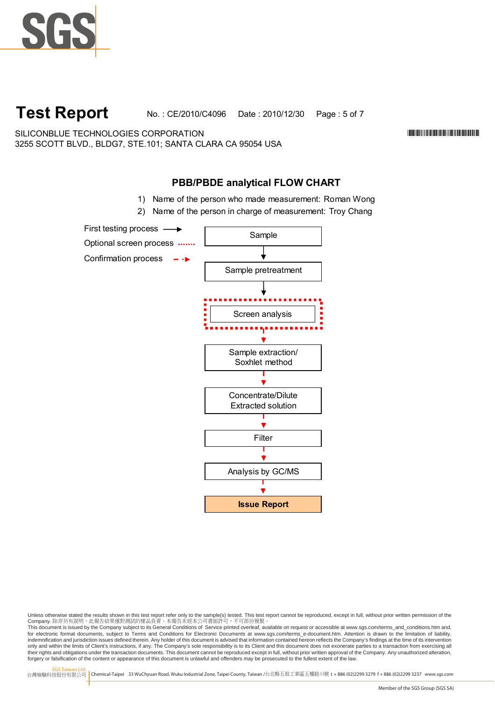

**Test Report** No. : CE/2010/C4096 Date : 2010/12/30 Page : 5 of 7

SILICONBLUE TECHNOLOGIES CORPORATION \*CE/2010/C4096\* 3255 SCOTT BLVD., BLDG7, STE.101; SANTA CLARA CA 95054 USA

## **PBB/PBDE analytical FLOW CHART**

- 1) Name of the person who made measurement: Roman Wong
- 2) Name of the person in charge of measurement: Troy Chang



Unless otherwise stated the results shown in this test report refer only to the sample(s) tested. This test report cannot be reproduced, except in full, without prior written permission of the Company. 除非另有說明,此報告結果僅對測試的樣品負責。本報告未經本公司書面許可,不可部份複製。

This document is issued by the Company subject to its General Conditions of Service printed overleaf, available on request or accessible at www.sgs.com/terms\_and\_conditions.htm and,<br>for electronic format documents, subject indemnification and jurisdiction issues defined therein. Any holder of this document is advised that information contained hereon reflects the Company's findings at the time of its intervention only and within the limits of Client's instructions, if any. The Company's sole responsibility is to its Client and this document does not exonerate parties to a transaction from exercising all<br>their rights and obligations forgery or falsification of the content or appearance of this document is unlawful and offenders may be prosecuted to the fullest extent of the law.

SGS Taiwan Ltd.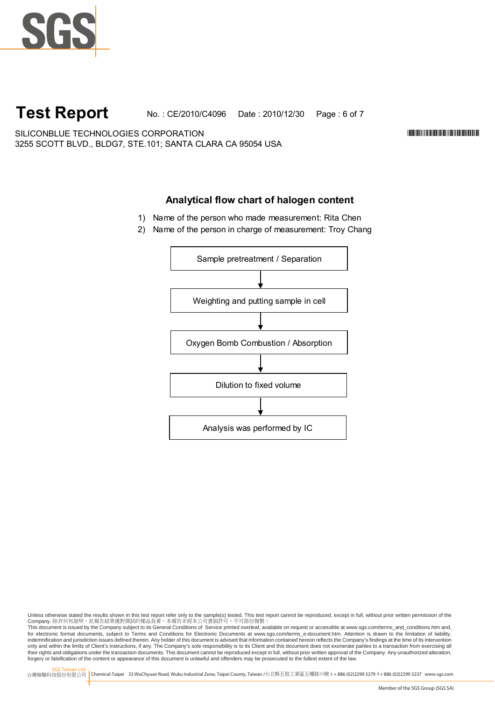

# **Test Report**

No. : CE/2010/C4096 Date : 2010/12/30 Page : 6 of 7

\*CE/2010/C4096\*CE/2010/C4096\*CE/2010

3255 SCOTT BLVD., BLDG7, STE.101; SANTA CLARA CA 95054 USA SILICONBLUE TECHNOLOGIES CORPORATION

## **Analytical flow chart of halogen content**

- 1) Name of the person who made measurement: Rita Chen
- 2) Name of the person in charge of measurement: Troy Chang



Unless otherwise stated the results shown in this test report refer only to the sample(s) tested. This test report cannot be reproduced, except in full, without prior written permission of the Company. 除非另有說明,此報告結果僅對測試的樣品負責。本報告未經本公司書面許可,不可部份複製。

This document is issued by the Company subject to its General Conditions of Service printed overleaf, available on request or accessible at www.sgs.com/terms\_and\_conditions.htm and,<br>for electronic format documents, subject indemnification and jurisdiction issues defined therein. Any holder of this document is advised that information contained hereon reflects the Company's findings at the time of its intervention only and within the limits of Client's instructions, if any. The Company's sole responsibility is to its Client and this document does not exonerate parties to a transaction from exercising all<br>their rights and obligations forgery or falsification of the content or appearance of this document is unlawful and offenders may be prosecuted to the fullest extent of the law.

SGS Taiwan Ltd.